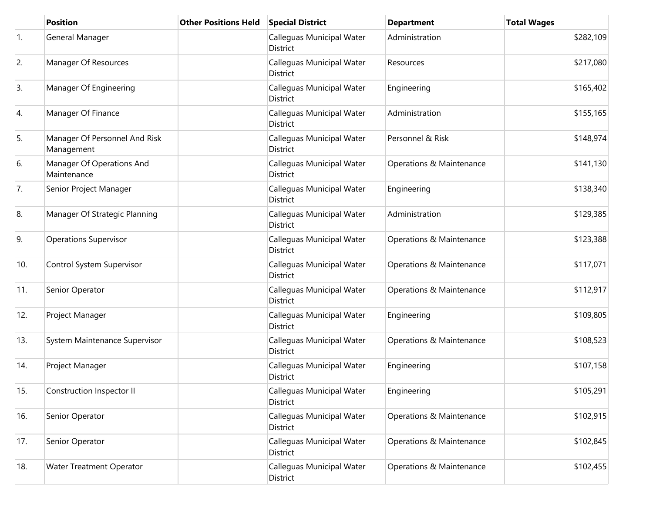|     | <b>Position</b>                             | <b>Other Positions Held</b> | <b>Special District</b>               | <b>Department</b>        | <b>Total Wages</b> |
|-----|---------------------------------------------|-----------------------------|---------------------------------------|--------------------------|--------------------|
| 1.  | General Manager                             |                             | Calleguas Municipal Water<br>District | Administration           | \$282,109          |
| 2.  | Manager Of Resources                        |                             | Calleguas Municipal Water<br>District | Resources                | \$217,080          |
| 3.  | Manager Of Engineering                      |                             | Calleguas Municipal Water<br>District | Engineering              | \$165,402          |
| 4.  | Manager Of Finance                          |                             | Calleguas Municipal Water<br>District | Administration           | \$155,165          |
| 5.  | Manager Of Personnel And Risk<br>Management |                             | Calleguas Municipal Water<br>District | Personnel & Risk         | \$148,974          |
| 6.  | Manager Of Operations And<br>Maintenance    |                             | Calleguas Municipal Water<br>District | Operations & Maintenance | \$141,130          |
| 7.  | Senior Project Manager                      |                             | Calleguas Municipal Water<br>District | Engineering              | \$138,340          |
| 8.  | Manager Of Strategic Planning               |                             | Calleguas Municipal Water<br>District | Administration           | \$129,385          |
| 9.  | <b>Operations Supervisor</b>                |                             | Calleguas Municipal Water<br>District | Operations & Maintenance | \$123,388          |
| 10. | Control System Supervisor                   |                             | Calleguas Municipal Water<br>District | Operations & Maintenance | \$117,071          |
| 11. | Senior Operator                             |                             | Calleguas Municipal Water<br>District | Operations & Maintenance | \$112,917          |
| 12. | Project Manager                             |                             | Calleguas Municipal Water<br>District | Engineering              | \$109,805          |
| 13. | System Maintenance Supervisor               |                             | Calleguas Municipal Water<br>District | Operations & Maintenance | \$108,523          |
| 14. | Project Manager                             |                             | Calleguas Municipal Water<br>District | Engineering              | \$107,158          |
| 15. | Construction Inspector II                   |                             | Calleguas Municipal Water<br>District | Engineering              | \$105,291          |
| 16. | Senior Operator                             |                             | Calleguas Municipal Water<br>District | Operations & Maintenance | \$102,915          |
| 17. | Senior Operator                             |                             | Calleguas Municipal Water<br>District | Operations & Maintenance | \$102,845          |
| 18. | Water Treatment Operator                    |                             | Calleguas Municipal Water<br>District | Operations & Maintenance | \$102,455          |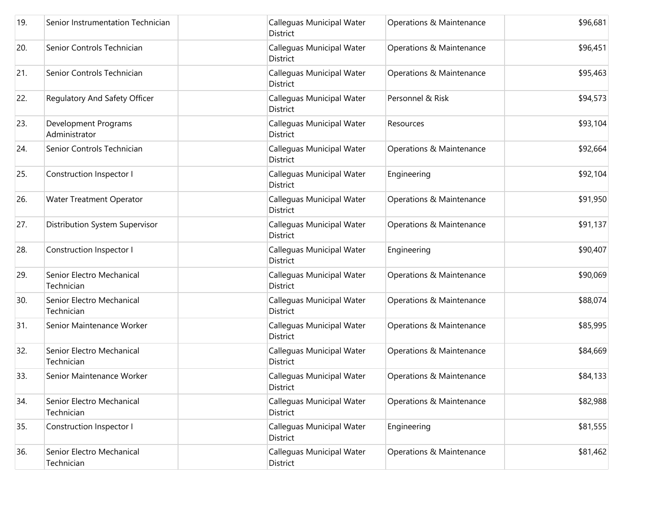| 19. | Senior Instrumentation Technician       | Calleguas Municipal Water<br>District        | Operations & Maintenance | \$96,681 |
|-----|-----------------------------------------|----------------------------------------------|--------------------------|----------|
| 20. | Senior Controls Technician              | Calleguas Municipal Water<br>District        | Operations & Maintenance | \$96,451 |
| 21. | Senior Controls Technician              | Calleguas Municipal Water<br>District        | Operations & Maintenance | \$95,463 |
| 22. | Regulatory And Safety Officer           | Calleguas Municipal Water<br>District        | Personnel & Risk         | \$94,573 |
| 23. | Development Programs<br>Administrator   | Calleguas Municipal Water<br>District        | Resources                | \$93,104 |
| 24. | Senior Controls Technician              | Calleguas Municipal Water<br><b>District</b> | Operations & Maintenance | \$92,664 |
| 25. | Construction Inspector I                | Calleguas Municipal Water<br><b>District</b> | Engineering              | \$92,104 |
| 26. | <b>Water Treatment Operator</b>         | Calleguas Municipal Water<br><b>District</b> | Operations & Maintenance | \$91,950 |
| 27. | Distribution System Supervisor          | Calleguas Municipal Water<br>District        | Operations & Maintenance | \$91,137 |
| 28. | Construction Inspector I                | Calleguas Municipal Water<br>District        | Engineering              | \$90,407 |
| 29. | Senior Electro Mechanical<br>Technician | Calleguas Municipal Water<br>District        | Operations & Maintenance | \$90,069 |
| 30. | Senior Electro Mechanical<br>Technician | Calleguas Municipal Water<br>District        | Operations & Maintenance | \$88,074 |
| 31. | Senior Maintenance Worker               | Calleguas Municipal Water<br>District        | Operations & Maintenance | \$85,995 |
| 32. | Senior Electro Mechanical<br>Technician | Calleguas Municipal Water<br>District        | Operations & Maintenance | \$84,669 |
| 33. | Senior Maintenance Worker               | Calleguas Municipal Water<br>District        | Operations & Maintenance | \$84,133 |
| 34. | Senior Electro Mechanical<br>Technician | Calleguas Municipal Water<br>District        | Operations & Maintenance | \$82,988 |
| 35. | Construction Inspector I                | Calleguas Municipal Water<br>District        | Engineering              | \$81,555 |
| 36. | Senior Electro Mechanical<br>Technician | Calleguas Municipal Water<br>District        | Operations & Maintenance | \$81,462 |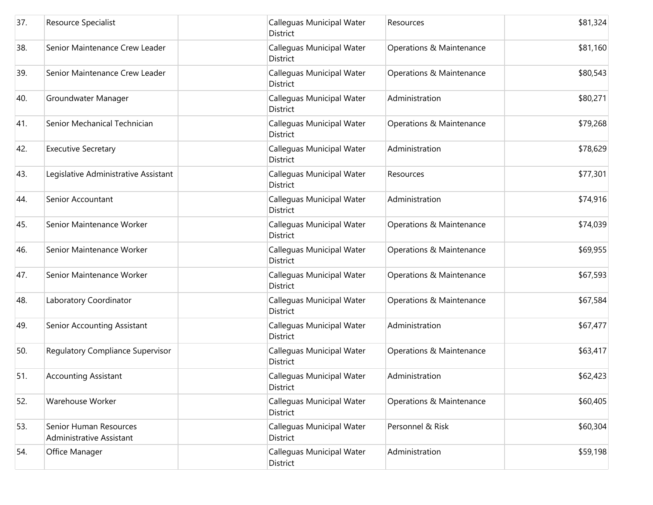| 37. | Resource Specialist                                | Calleguas Municipal Water<br>District        | Resources                | \$81,324 |
|-----|----------------------------------------------------|----------------------------------------------|--------------------------|----------|
| 38. | Senior Maintenance Crew Leader                     | Calleguas Municipal Water<br>District        | Operations & Maintenance | \$81,160 |
| 39. | Senior Maintenance Crew Leader                     | Calleguas Municipal Water<br>District        | Operations & Maintenance | \$80,543 |
| 40. | Groundwater Manager                                | Calleguas Municipal Water<br><b>District</b> | Administration           | \$80,271 |
| 41. | Senior Mechanical Technician                       | Calleguas Municipal Water<br>District        | Operations & Maintenance | \$79,268 |
| 42. | <b>Executive Secretary</b>                         | Calleguas Municipal Water<br><b>District</b> | Administration           | \$78,629 |
| 43. | Legislative Administrative Assistant               | Calleguas Municipal Water<br><b>District</b> | Resources                | \$77,301 |
| 44. | Senior Accountant                                  | Calleguas Municipal Water<br>District        | Administration           | \$74,916 |
| 45. | Senior Maintenance Worker                          | Calleguas Municipal Water<br>District        | Operations & Maintenance | \$74,039 |
| 46. | Senior Maintenance Worker                          | Calleguas Municipal Water<br>District        | Operations & Maintenance | \$69,955 |
| 47. | Senior Maintenance Worker                          | Calleguas Municipal Water<br>District        | Operations & Maintenance | \$67,593 |
| 48. | Laboratory Coordinator                             | Calleguas Municipal Water<br><b>District</b> | Operations & Maintenance | \$67,584 |
| 49. | Senior Accounting Assistant                        | Calleguas Municipal Water<br>District        | Administration           | \$67,477 |
| 50. | Regulatory Compliance Supervisor                   | Calleguas Municipal Water<br><b>District</b> | Operations & Maintenance | \$63,417 |
| 51. | <b>Accounting Assistant</b>                        | Calleguas Municipal Water<br>District        | Administration           | \$62,423 |
| 52. | Warehouse Worker                                   | Calleguas Municipal Water<br>District        | Operations & Maintenance | \$60,405 |
| 53. | Senior Human Resources<br>Administrative Assistant | Calleguas Municipal Water<br>District        | Personnel & Risk         | \$60,304 |
| 54. | Office Manager                                     | Calleguas Municipal Water<br>District        | Administration           | \$59,198 |